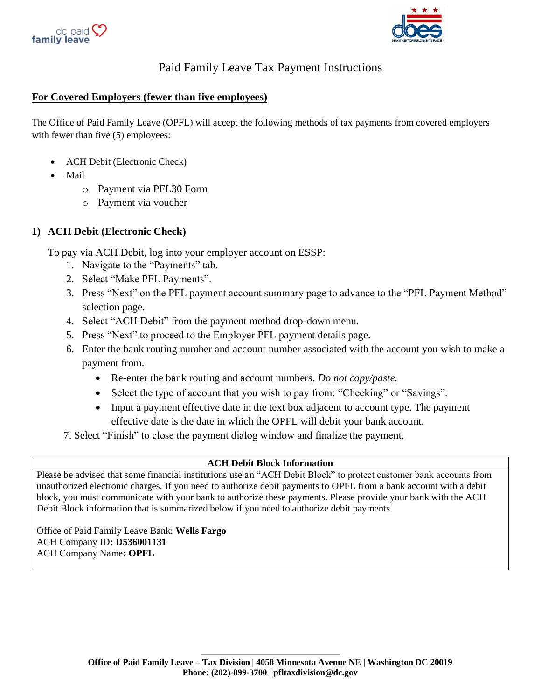



# Paid Family Leave Tax Payment Instructions

#### **For Covered Employers (fewer than five employees)**

The Office of Paid Family Leave (OPFL) will accept the following methods of tax payments from covered employers with fewer than five  $(5)$  employees:

- ACH Debit (Electronic Check)
- Mail
	- o Payment via PFL30 Form
	- o Payment via voucher

## **1) ACH Debit (Electronic Check)**

To pay via ACH Debit, log into your employer account on ESSP:

- 1. Navigate to the "Payments" tab.
- 2. Select "Make PFL Payments".
- 3. Press "Next" on the PFL payment account summary page to advance to the "PFL Payment Method" selection page.
- 4. Select "ACH Debit" from the payment method drop-down menu.
- 5. Press "Next" to proceed to the Employer PFL payment details page.
- 6. Enter the bank routing number and account number associated with the account you wish to make a payment from.
	- Re-enter the bank routing and account numbers. *Do not copy/paste.*
	- Select the type of account that you wish to pay from: "Checking" or "Savings".
	- Input a payment effective date in the text box adjacent to account type. The payment effective date is the date in which the OPFL will debit your bank account.
- 7. Select "Finish" to close the payment dialog window and finalize the payment.

#### **ACH Debit Block Information**

Please be advised that some financial institutions use an "ACH Debit Block" to protect customer bank accounts from unauthorized electronic charges. If you need to authorize debit payments to OPFL from a bank account with a debit block, you must communicate with your bank to authorize these payments. Please provide your bank with the ACH Debit Block information that is summarized below if you need to authorize debit payments.

Office of Paid Family Leave Bank: **Wells Fargo** ACH Company ID**: D536001131** ACH Company Name**: OPFL**